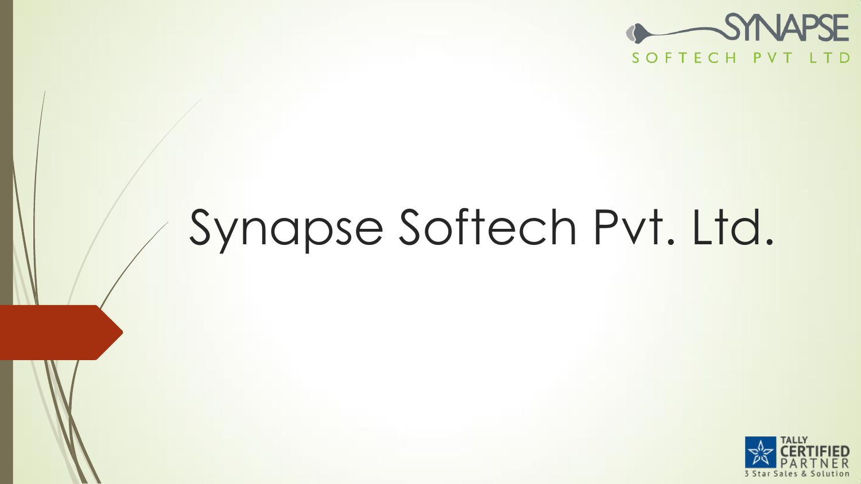

# Synapse Softech Pvt. Ltd.

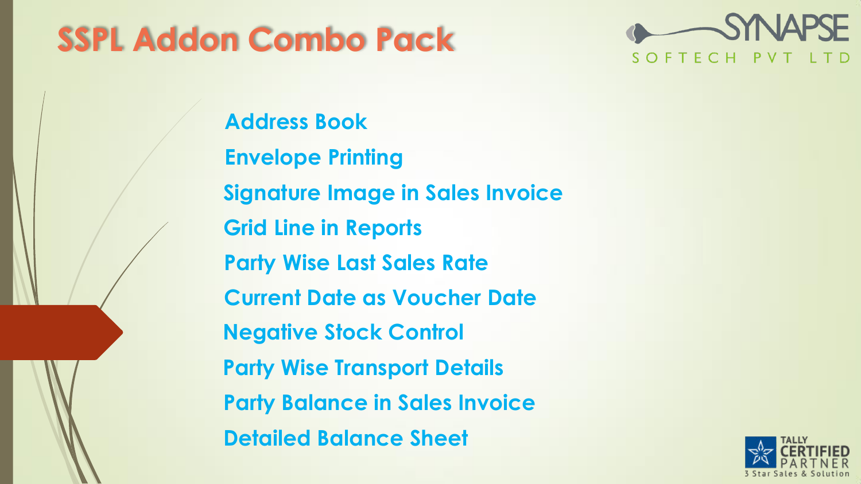# **SSPL Addon Combo Pack**



**Address Book Envelope Printing Signature Image in Sales Invoice Grid Line in Reports Party Wise Last Sales Rate Current Date as Voucher Date Negative Stock Control Party Wise Transport Details Party Balance in Sales Invoice Detailed Balance Sheet**

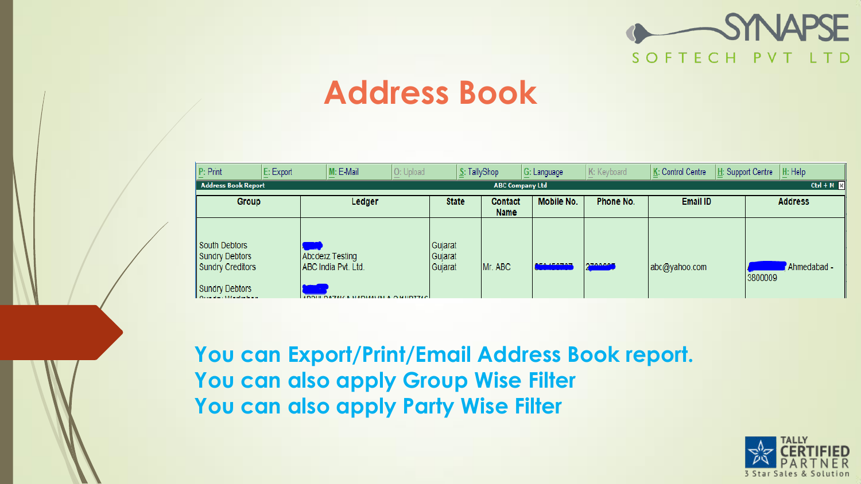

#### **Address Book**

| P: Print                                                                                                               | E: Export | M: E-Mail                                                                           | O: Upload | S: TallyShop                  |                               | G: Language      | K: Keyboard    | K: Control Centre | H: Help<br>H: Support Centre |
|------------------------------------------------------------------------------------------------------------------------|-----------|-------------------------------------------------------------------------------------|-----------|-------------------------------|-------------------------------|------------------|----------------|-------------------|------------------------------|
| $Ctrl + M$<br>Address Book Report<br><b>ABC Company Ltd</b>                                                            |           |                                                                                     |           |                               |                               |                  |                |                   |                              |
| Group                                                                                                                  |           | Ledger                                                                              |           | <b>State</b>                  | <b>Contact</b><br><b>Name</b> | Mobile No.       | Phone No.      | <b>Email ID</b>   | <b>Address</b>               |
| South Debtors<br>Sundry Debtors<br>Sundry Creditors<br>Sundry Debtors<br>ومراجع والمتحادية والمستنقر ومتحدثات والمنافس |           | Abcdexz Testing<br>ABC India Pvt. Ltd.<br><b>ADDULDATALLA MADMALIALA QUILDTILLO</b> |           | Gujarat<br>Gujarat<br>Gujarat | Mr. ABC                       | <b>BEALESTAT</b> | <b>CIADAOE</b> | abc@yahoo.com     | Ahmedabad -<br>3800009       |

**You can Export/Print/Email Address Book report. You can also apply Group Wise Filter You can also apply Party Wise Filter**

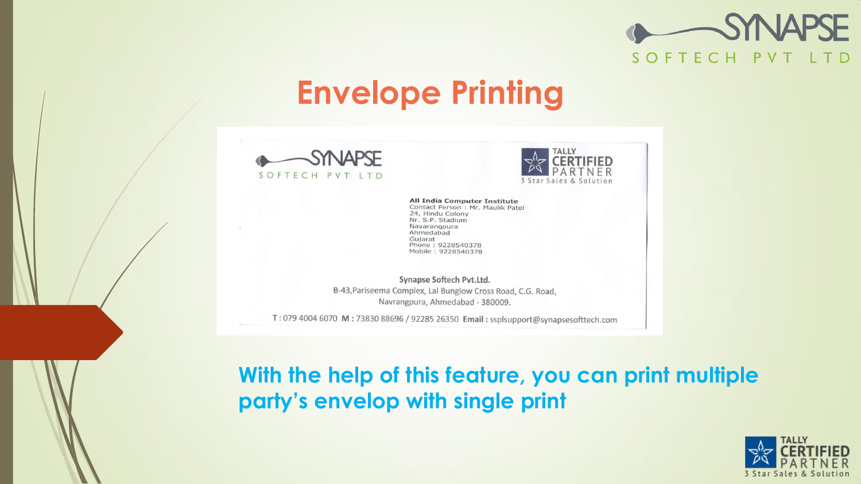

#### **Envelope Printing**





**All India Computer Institute** Contact Person: Mr. Maulik Patel 24, Hindu Colony Nr. S.P. Stadium Navarangpura Ahmedabad Guiarat Phone: 9228540378 Mobile: 9228540378

Synapse Softech Pvt.Ltd. B-43, Pariseema Complex, Lal Bunglow Cross Road, C.G. Road, Navrangpura, Ahmedabad - 380009.

T: 079 4004 6070 M: 73830 88696 / 92285 26350 Email: ssplsupport@synapsesofttech.com

**With the help of this feature, you can print multiple party's envelop with single print**

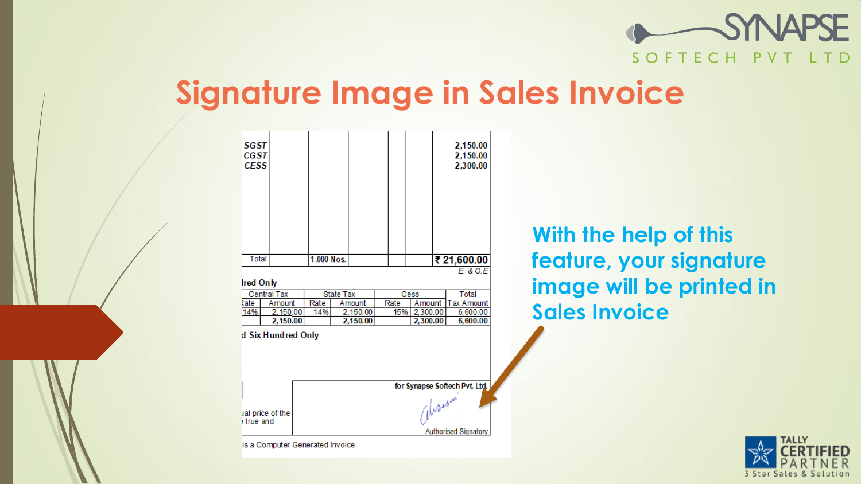

#### **Signature Image in Sales Invoice**

| SGST<br><b>CGST</b><br><b>CESS</b>     |                  |          |      |          | 2,150.00<br>2,150.00<br>2,300.00 |
|----------------------------------------|------------------|----------|------|----------|----------------------------------|
| Total                                  | 1.000 Nos.       |          |      |          | ₹ 21,600.00                      |
| <b>Ired Only</b><br><b>Central Tax</b> | <b>State Tax</b> |          |      | Cess     | E. 80.E<br><b>Total</b>          |
| late<br>Amount                         | Rate             | Amount   | Rate | Amount   | Tax Amount                       |
| 14%<br>2,150.00                        | 14%              | 2,150.00 | 15%  | 2,300.00 | 6,600.00                         |
| 2,150.00                               |                  | 2,150.00 |      | 2,300.00 | 6,600.00                         |
|                                        |                  |          |      |          |                                  |
| d Six Hundred Only                     |                  |          |      | Waesar   | for Synapse Softech Pvt. Ltd.    |

**With the help of this feature, your signature image will be printed in Sales Invoice**

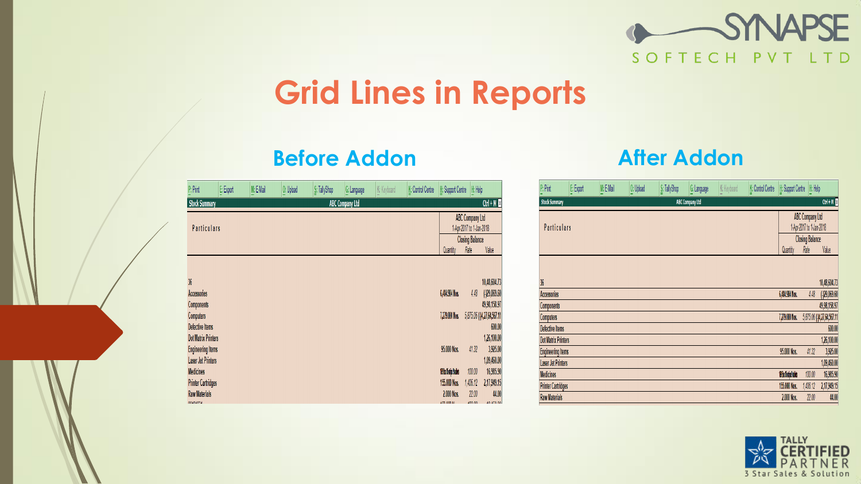

## **Grid Lines in Reports**

#### **Before Addon After Addon**

| P: Print                                                                                                    | E: Export | M: E-Mail | O: Upload | S: TallyShop | G: Language            | K: Keyboard | K: Control Centre | H: Support Centre                | H: Help                                            |                                                                                                       |
|-------------------------------------------------------------------------------------------------------------|-----------|-----------|-----------|--------------|------------------------|-------------|-------------------|----------------------------------|----------------------------------------------------|-------------------------------------------------------------------------------------------------------|
| <b>Stock Summary</b>                                                                                        |           |           |           |              | <b>ABC Company Ltd</b> |             |                   |                                  |                                                    | $Ctrl + M X$                                                                                          |
| <b>Particulars</b>                                                                                          |           |           |           |              |                        |             |                   |                                  | <b>ABC Company Ltd</b><br>1-Apr-2017 to 1-Jan-2018 |                                                                                                       |
|                                                                                                             |           |           |           |              |                        |             |                   |                                  | <b>Closing Balance</b>                             |                                                                                                       |
|                                                                                                             |           |           |           |              |                        |             |                   | Quantity                         | Rate                                               | Value                                                                                                 |
| 36<br><b>Accessories</b><br><b>Components</b><br>Computers<br>Defective Items<br><b>Dot Matrix Printers</b> |           |           |           |              |                        |             |                   | 6,484.984 Nos.<br>7,279.000 Nos. | 4.48                                               | 10,48,604.73<br>$($ -)29,069.60<br>49,98,158.97<br>5,875.06 (14,27,64,567.11<br>600.00<br>1,26,100.00 |
| <b>Engineering Items</b><br><b>Laser Jet Printers</b>                                                       |           |           |           |              |                        |             |                   | 95.000 Nos.                      | 41.32                                              | 3,925.00<br>1,09,460.00                                                                               |
| <b>Medicines</b>                                                                                            |           |           |           |              |                        |             |                   | 19 Ba 15 stips 9 teldes          | 100.00                                             | 16,985.90                                                                                             |
| <b>Printer Cartridges</b>                                                                                   |           |           |           |              |                        |             |                   | 155.000 Nos.                     | 1,406.12                                           | 2,17,949.15                                                                                           |
| <b>Raw Materials</b><br><b>DOADAODA</b>                                                                     |           |           |           |              |                        |             |                   | 2.000 Nos.<br><b>ATA AAA NI</b>  | 22.00<br>100.00                                    | 44.00<br>40,450.00                                                                                    |

| P: Print                   | E: Export | M: E-Mail | O: Upload | S: TallyShop           | G: Language | K: Keyboard | K: Control Centre | H: Support Centre        | H: Help                        |                            |
|----------------------------|-----------|-----------|-----------|------------------------|-------------|-------------|-------------------|--------------------------|--------------------------------|----------------------------|
| <b>Stock Summary</b>       |           |           |           | <b>ABC Company Ltd</b> |             |             |                   |                          |                                | $Cth + M$                  |
| <b>Particulars</b>         |           |           |           |                        |             |             |                   | 1-Apr-2017 to 1-Jan-2018 | <b>ABC Company Ltd</b>         |                            |
|                            |           |           |           |                        |             |             |                   | Quantity                 | <b>Closing Balance</b><br>Rate | Value                      |
|                            |           |           |           |                        |             |             |                   |                          |                                |                            |
| 36                         |           |           |           |                        |             |             |                   |                          |                                | 10,48,604.73               |
| Accessories                |           |           |           |                        |             |             |                   | 6,484.984 Nos.           | 4.48                           | (129,069.60)               |
| Components                 |           |           |           |                        |             |             |                   |                          |                                | 49,98,158.97               |
| Computers                  |           |           |           |                        |             |             |                   | 7,279,000 Nos.           |                                | 5,875.06 (-)4,27,64,567.11 |
| Defective Items            |           |           |           |                        |             |             |                   |                          |                                | 600.00                     |
| <b>Dot Matrix Printers</b> |           |           |           |                        |             |             |                   |                          |                                | 1,26,100.00                |
| <b>Engineering Items</b>   |           |           |           |                        |             |             |                   | 95.000 Nos.              | 41.32                          | 3,925.00                   |
| <b>Laser Jet Printers</b>  |           |           |           |                        |             |             |                   |                          |                                | 1,09,460.00                |
| <b>Medicines</b>           |           |           |           |                        |             |             |                   | 10 Box 15 stics 9 teldes | 100.00                         | 16,985.90                  |
| <b>Printer Cartridges</b>  |           |           |           |                        |             |             |                   | 155.000 Nos.             | 1,406.12                       | 2,17,949.15                |
| <b>Raw Materials</b>       |           |           |           |                        |             |             |                   | 2.000 Nos.               | 22.00                          | 44.00                      |
|                            |           |           |           |                        |             |             |                   |                          |                                |                            |

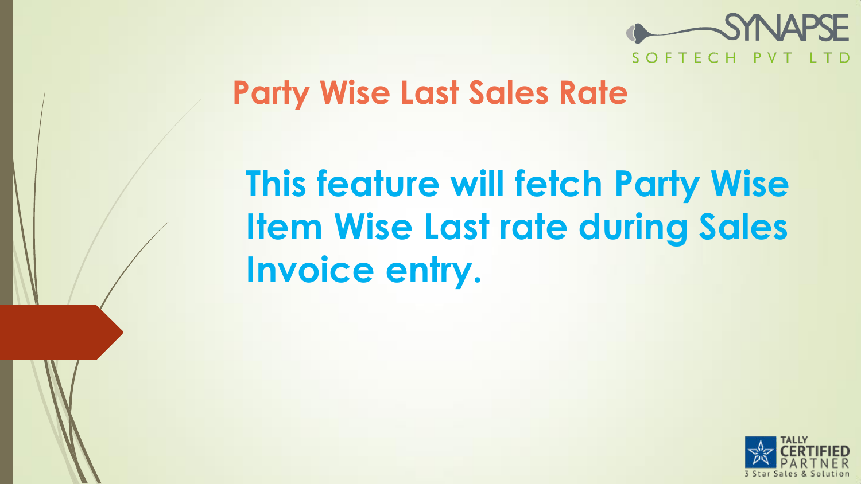

#### **Party Wise Last Sales Rate**

# **This feature will fetch Party Wise Item Wise Last rate during Sales Invoice entry.**

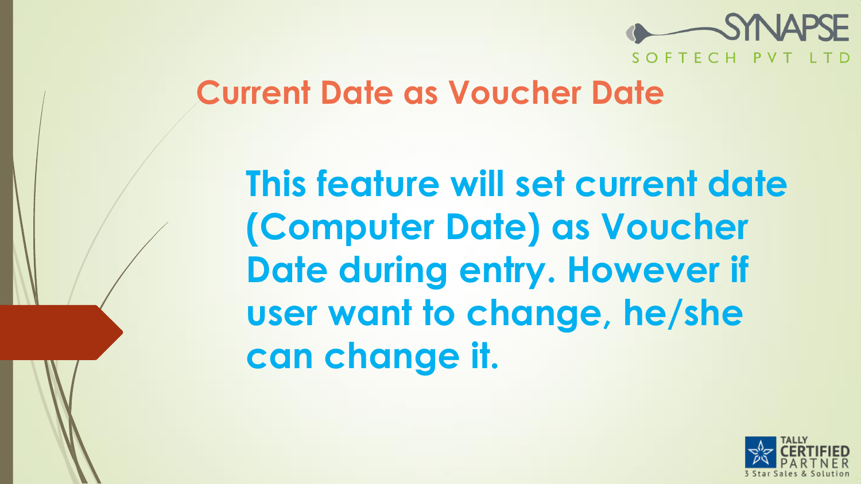

#### **Current Date as Voucher Date**

**This feature will set current date (Computer Date) as Voucher Date during entry. However if user want to change, he/she can change it.**

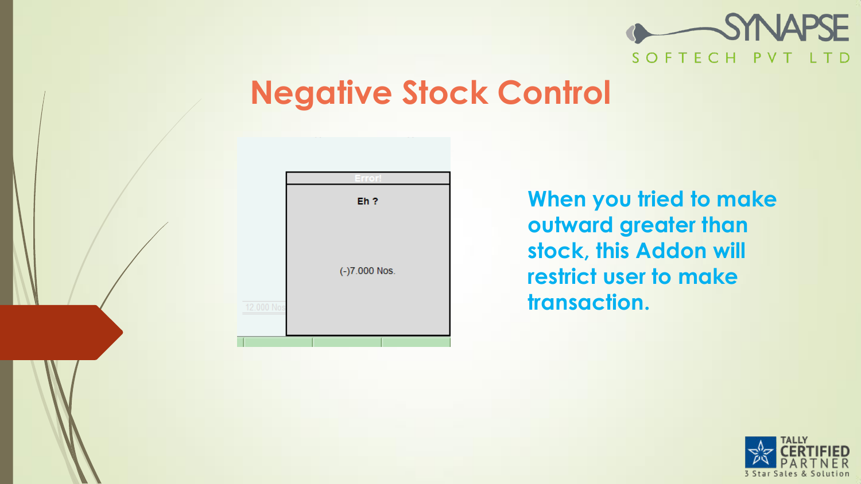

## **Negative Stock Control**



**When you tried to make outward greater than stock, this Addon will restrict user to make transaction.**

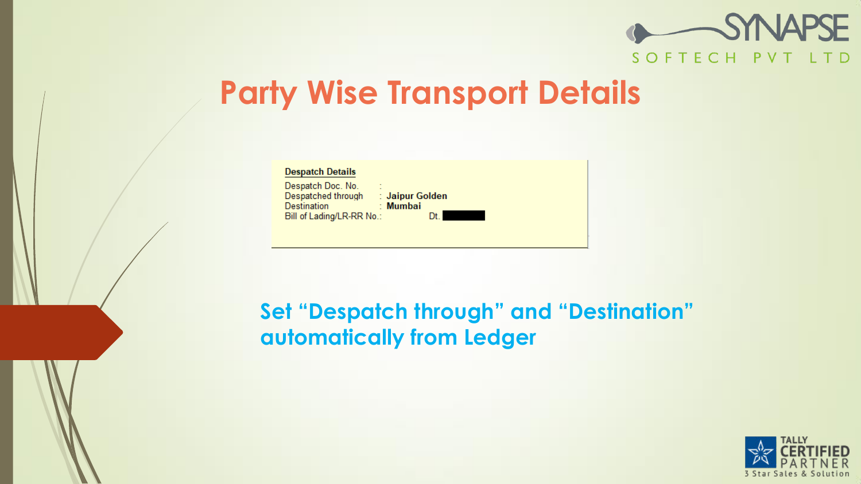

## **Party Wise Transport Details**

| <b>Despatch Details</b>                                                                            |                                   |
|----------------------------------------------------------------------------------------------------|-----------------------------------|
| Despatch Doc. No.<br>٠<br>$\sim$<br>Despatched through<br>Destination<br>Bill of Lading/LR-RR No.: | : Jaipur Golden<br>: Mumbai<br>Dt |
|                                                                                                    |                                   |

#### **Set "Despatch through" and "Destination" automatically from Ledger**

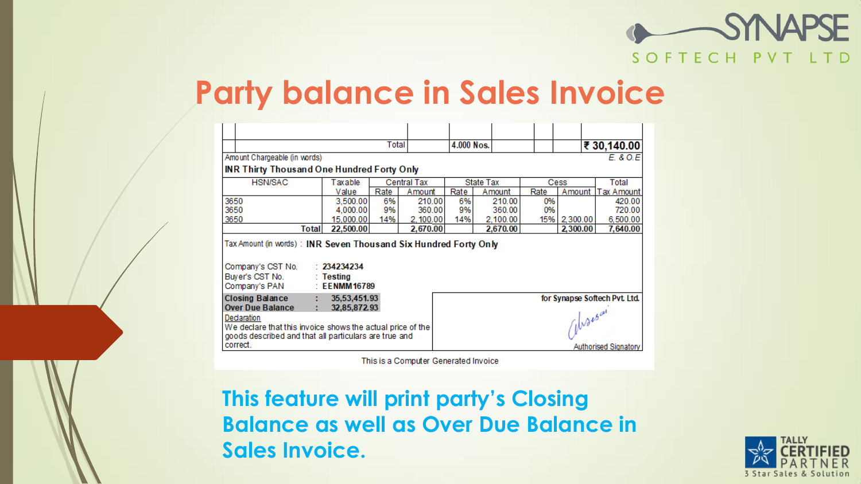

#### **Party balance in Sales Invoice**

|                                                                                                                                |                              | Total |             | 4.000 Nos. |           |           |                      | ₹ 30,140.00                   |
|--------------------------------------------------------------------------------------------------------------------------------|------------------------------|-------|-------------|------------|-----------|-----------|----------------------|-------------------------------|
| Amount Chargeable (in words)                                                                                                   |                              |       |             |            |           | E. & O.E. |                      |                               |
| <b>INR Thirty Thousand One Hundred Forty Only</b>                                                                              |                              |       |             |            |           |           |                      |                               |
| <b>HSN/SAC</b>                                                                                                                 | Taxable                      |       | Central Tax |            | State Tax |           | Cess                 | Total                         |
|                                                                                                                                | Value                        | Rate  | Amount      | Rate       | Amount    | Rate      | Amount               | Tax Amount                    |
| 3650                                                                                                                           | 3,500.00                     | 6%    | 210.00      | 6% l       | 210.00    | 0%        |                      | 420.00                        |
| 3650                                                                                                                           | 4.000.00                     | 9%    | 360.00      | 9%         | 360.00    | 0%        |                      | 720.00                        |
| 3650                                                                                                                           | 15,000.00                    | 14%   | 2,100.00    | 14%        | 2,100.00  |           | 15% 2,300.00         | 6,500.00                      |
| Total                                                                                                                          | 22,500.00                    |       | 2,670.00    |            | 2,670.00  |           | 2,300.00             | 7,640.00                      |
| Tax Amount (in words): INR Seven Thousand Six Hundred Forty Only<br>Company's CST No. : 234234234<br>Buyer's CST No. : Testing |                              |       |             |            |           |           |                      |                               |
| Company's PAN                                                                                                                  | $\therefore$ EENMM16789      |       |             |            |           |           |                      |                               |
| Closing Balance<br>÷.<br><b>Over Due Balance</b>                                                                               | 35,53,451.93<br>32,85,872.93 |       |             |            |           |           | $\sqrt{v^{\lambda}}$ | for Synapse Softech Pvt. Ltd. |

This is a Computer Generated Invoice

**This feature will print party's Closing Balance as well as Over Due Balance in Sales Invoice.**

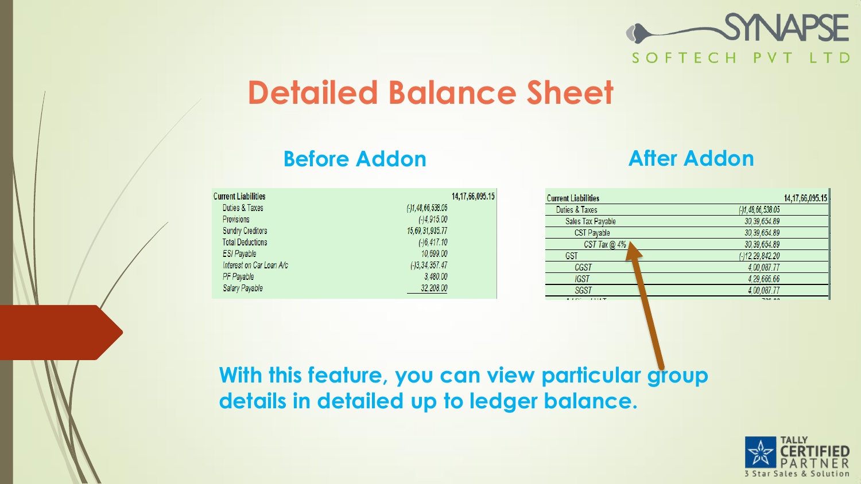

## **Detailed Balance Sheet**

#### **Before Addon After Addon**

| <b>Current Liabilities</b> | 14,17,66,095.15    |
|----------------------------|--------------------|
| Duties & Taxes             | ( )1,48,66,538.05  |
| Provisions                 | $(-)4,915.00$      |
| <b>Sundry Creditors</b>    | 15,69,31,935.77    |
| <b>Total Deductions</b>    | ( )6,417.10        |
| <b>ESI Payable</b>         | 10,699.00          |
| Interest on Car Loan A/c   | $(-)3, 34, 357.47$ |
| PF Payable                 | 3,480.00           |
| Salary Payable             | 32,208.00          |

| <b>Current Liabilities</b> |                       | 14,17,66,095.15 |
|----------------------------|-----------------------|-----------------|
| Duties & Taxes             | $( - )1,48,66,538.05$ |                 |
| Sales Tax Payable          | 30, 39, 654.89        |                 |
| <b>CST Payable</b>         | 30, 39, 654.89        |                 |
| CST Tax $@$ 4%             | 30, 39, 654.89        |                 |
| <b>GST</b>                 | (-)12,29,842.20       |                 |
| CGST                       | 4,00,087.77           |                 |
| IGST                       | 4.29.666.66           |                 |
| <b>SGST</b>                | 4,00,087.77           |                 |
| <b>ALCOHOL:</b><br>1.1187  | 700.00                |                 |

#### **With this feature, you can view particular group details in detailed up to ledger balance.**